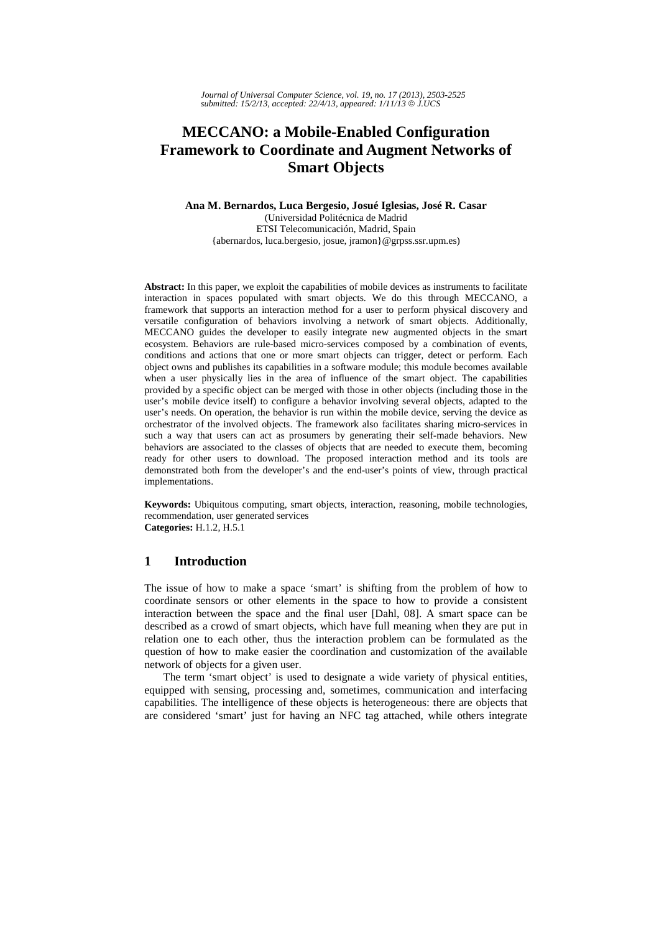# **MECCANO: a Mobile-Enabled Configuration Framework to Coordinate and Augment Networks of Smart Objects**

#### **Ana M. Bernardos, Luca Bergesio, Josué Iglesias, José R. Casar**  (Universidad Politécnica de Madrid ETSI Telecomunicación, Madrid, Spain {abernardos, luca.bergesio, josue, jramon}@grpss.ssr.upm.es)

**Abstract:** In this paper, we exploit the capabilities of mobile devices as instruments to facilitate interaction in spaces populated with smart objects. We do this through MECCANO, a framework that supports an interaction method for a user to perform physical discovery and versatile configuration of behaviors involving a network of smart objects. Additionally, MECCANO guides the developer to easily integrate new augmented objects in the smart ecosystem. Behaviors are rule-based micro-services composed by a combination of events, conditions and actions that one or more smart objects can trigger, detect or perform. Each object owns and publishes its capabilities in a software module; this module becomes available when a user physically lies in the area of influence of the smart object. The capabilities provided by a specific object can be merged with those in other objects (including those in the user's mobile device itself) to configure a behavior involving several objects, adapted to the user's needs. On operation, the behavior is run within the mobile device, serving the device as orchestrator of the involved objects. The framework also facilitates sharing micro-services in such a way that users can act as prosumers by generating their self-made behaviors. New behaviors are associated to the classes of objects that are needed to execute them, becoming ready for other users to download. The proposed interaction method and its tools are demonstrated both from the developer's and the end-user's points of view, through practical implementations.

**Keywords:** Ubiquitous computing, smart objects, interaction, reasoning, mobile technologies, recommendation, user generated services **Categories:** H.1.2, H.5.1

# **1 Introduction**

The issue of how to make a space 'smart' is shifting from the problem of how to coordinate sensors or other elements in the space to how to provide a consistent interaction between the space and the final user [Dahl, 08]. A smart space can be described as a crowd of smart objects, which have full meaning when they are put in relation one to each other, thus the interaction problem can be formulated as the question of how to make easier the coordination and customization of the available network of objects for a given user.

The term 'smart object' is used to designate a wide variety of physical entities, equipped with sensing, processing and, sometimes, communication and interfacing capabilities. The intelligence of these objects is heterogeneous: there are objects that are considered 'smart' just for having an NFC tag attached, while others integrate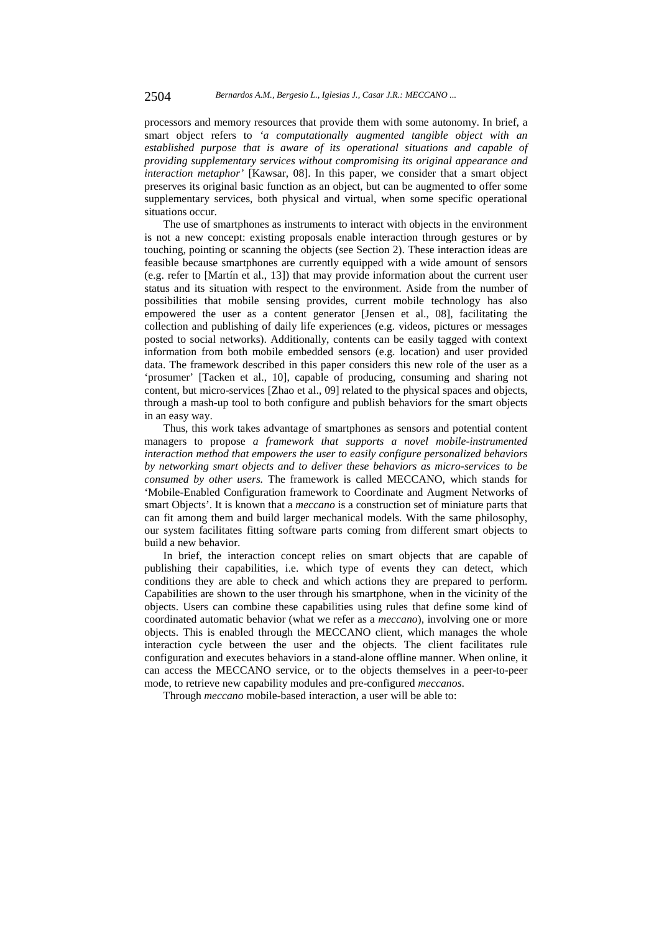processors and memory resources that provide them with some autonomy. In brief, a smart object refers to *'a computationally augmented tangible object with an established purpose that is aware of its operational situations and capable of providing supplementary services without compromising its original appearance and interaction metaphor'* [Kawsar, 08]. In this paper, we consider that a smart object preserves its original basic function as an object, but can be augmented to offer some supplementary services, both physical and virtual, when some specific operational situations occur.

The use of smartphones as instruments to interact with objects in the environment is not a new concept: existing proposals enable interaction through gestures or by touching, pointing or scanning the objects (see Section 2). These interaction ideas are feasible because smartphones are currently equipped with a wide amount of sensors (e.g. refer to [Martín et al., 13]) that may provide information about the current user status and its situation with respect to the environment. Aside from the number of possibilities that mobile sensing provides, current mobile technology has also empowered the user as a content generator [Jensen et al., 08], facilitating the collection and publishing of daily life experiences (e.g. videos, pictures or messages posted to social networks). Additionally, contents can be easily tagged with context information from both mobile embedded sensors (e.g. location) and user provided data. The framework described in this paper considers this new role of the user as a 'prosumer' [Tacken et al., 10], capable of producing, consuming and sharing not content, but micro-services [Zhao et al., 09] related to the physical spaces and objects, through a mash-up tool to both configure and publish behaviors for the smart objects in an easy way.

Thus, this work takes advantage of smartphones as sensors and potential content managers to propose *a framework that supports a novel mobile-instrumented interaction method that empowers the user to easily configure personalized behaviors by networking smart objects and to deliver these behaviors as micro-services to be consumed by other users.* The framework is called MECCANO, which stands for 'Mobile-Enabled Configuration framework to Coordinate and Augment Networks of smart Objects'. It is known that a *meccano* is a construction set of miniature parts that can fit among them and build larger mechanical models. With the same philosophy, our system facilitates fitting software parts coming from different smart objects to build a new behavior.

In brief, the interaction concept relies on smart objects that are capable of publishing their capabilities, i.e. which type of events they can detect, which conditions they are able to check and which actions they are prepared to perform. Capabilities are shown to the user through his smartphone, when in the vicinity of the objects. Users can combine these capabilities using rules that define some kind of coordinated automatic behavior (what we refer as a *meccano*), involving one or more objects. This is enabled through the MECCANO client, which manages the whole interaction cycle between the user and the objects. The client facilitates rule configuration and executes behaviors in a stand-alone offline manner. When online, it can access the MECCANO service, or to the objects themselves in a peer-to-peer mode, to retrieve new capability modules and pre-configured *meccanos*.

Through *meccano* mobile-based interaction, a user will be able to: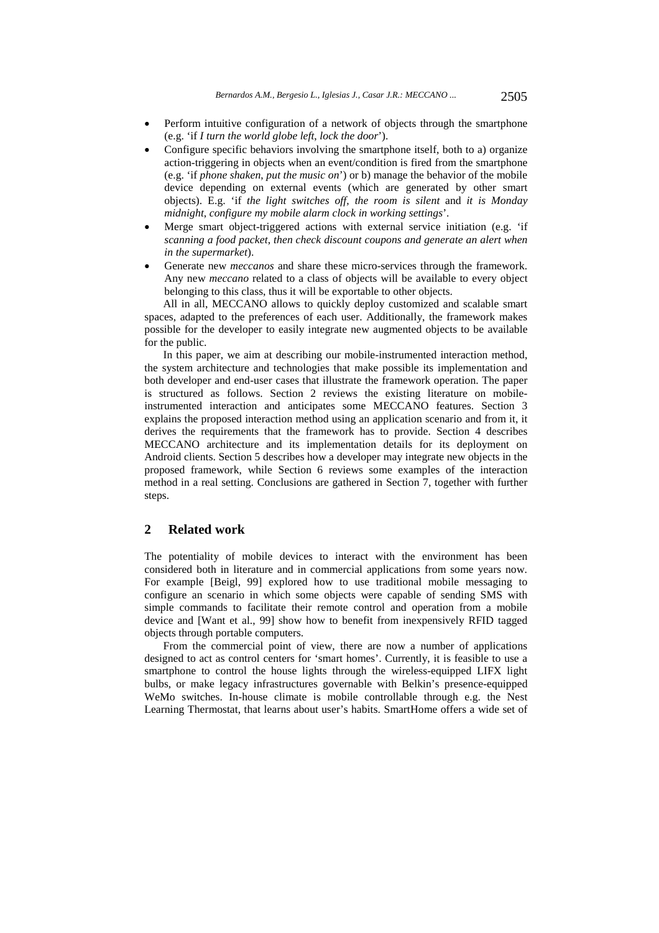- Perform intuitive configuration of a network of objects through the smartphone (e.g. 'if *I turn the world globe left*, *lock the door*').
- Configure specific behaviors involving the smartphone itself, both to a) organize action-triggering in objects when an event/condition is fired from the smartphone (e.g. 'if *phone shaken*, *put the music on*') or b) manage the behavior of the mobile device depending on external events (which are generated by other smart objects). E.g. 'if *the light switches off*, *the room is silent* and *it is Monday midnight*, *configure my mobile alarm clock in working settings*'.
- Merge smart object-triggered actions with external service initiation (e.g. 'if *scanning a food packet*, *then check discount coupons and generate an alert when in the supermarket*).
- Generate new *meccanos* and share these micro-services through the framework. Any new *meccano* related to a class of objects will be available to every object belonging to this class, thus it will be exportable to other objects.

All in all, MECCANO allows to quickly deploy customized and scalable smart spaces, adapted to the preferences of each user. Additionally, the framework makes possible for the developer to easily integrate new augmented objects to be available for the public.

In this paper, we aim at describing our mobile-instrumented interaction method, the system architecture and technologies that make possible its implementation and both developer and end-user cases that illustrate the framework operation. The paper is structured as follows. Section 2 reviews the existing literature on mobileinstrumented interaction and anticipates some MECCANO features. Section 3 explains the proposed interaction method using an application scenario and from it, it derives the requirements that the framework has to provide. Section 4 describes MECCANO architecture and its implementation details for its deployment on Android clients. Section 5 describes how a developer may integrate new objects in the proposed framework, while Section 6 reviews some examples of the interaction method in a real setting. Conclusions are gathered in Section 7, together with further steps.

# **2 Related work**

The potentiality of mobile devices to interact with the environment has been considered both in literature and in commercial applications from some years now. For example [Beigl, 99] explored how to use traditional mobile messaging to configure an scenario in which some objects were capable of sending SMS with simple commands to facilitate their remote control and operation from a mobile device and [Want et al., 99] show how to benefit from inexpensively RFID tagged objects through portable computers.

From the commercial point of view, there are now a number of applications designed to act as control centers for 'smart homes'. Currently, it is feasible to use a smartphone to control the house lights through the wireless-equipped LIFX light bulbs, or make legacy infrastructures governable with Belkin's presence-equipped WeMo switches. In-house climate is mobile controllable through e.g. the Nest Learning Thermostat, that learns about user's habits. SmartHome offers a wide set of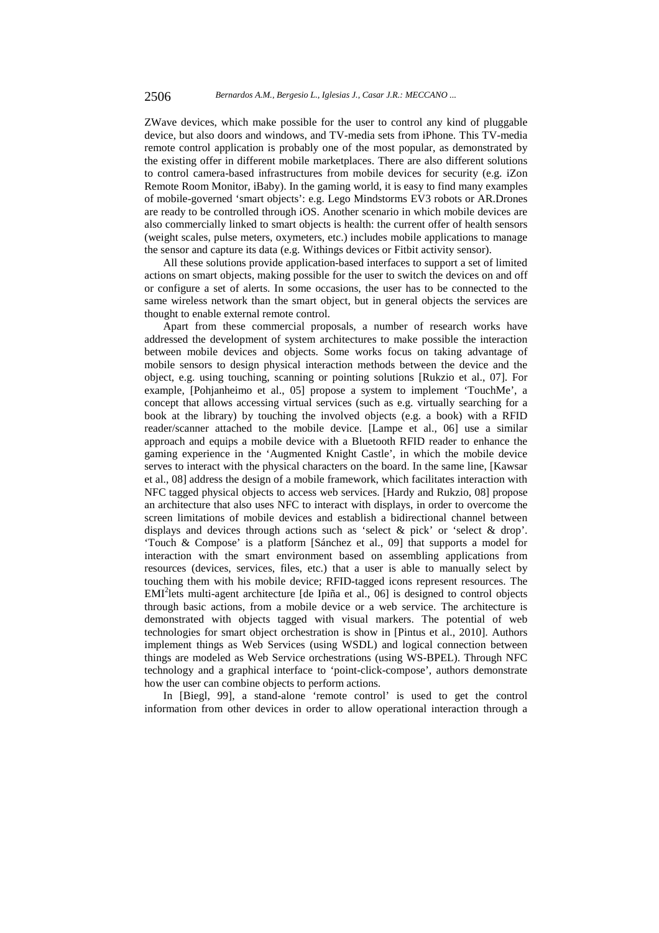ZWave devices, which make possible for the user to control any kind of pluggable device, but also doors and windows, and TV-media sets from iPhone. This TV-media remote control application is probably one of the most popular, as demonstrated by the existing offer in different mobile marketplaces. There are also different solutions to control camera-based infrastructures from mobile devices for security (e.g. iZon Remote Room Monitor, iBaby). In the gaming world, it is easy to find many examples of mobile-governed 'smart objects': e.g. Lego Mindstorms EV3 robots or AR.Drones are ready to be controlled through iOS. Another scenario in which mobile devices are also commercially linked to smart objects is health: the current offer of health sensors (weight scales, pulse meters, oxymeters, etc.) includes mobile applications to manage the sensor and capture its data (e.g. Withings devices or Fitbit activity sensor).

All these solutions provide application-based interfaces to support a set of limited actions on smart objects, making possible for the user to switch the devices on and off or configure a set of alerts. In some occasions, the user has to be connected to the same wireless network than the smart object, but in general objects the services are thought to enable external remote control.

Apart from these commercial proposals, a number of research works have addressed the development of system architectures to make possible the interaction between mobile devices and objects. Some works focus on taking advantage of mobile sensors to design physical interaction methods between the device and the object, e.g. using touching, scanning or pointing solutions [Rukzio et al., 07]. For example, [Pohjanheimo et al., 05] propose a system to implement 'TouchMe', a concept that allows accessing virtual services (such as e.g. virtually searching for a book at the library) by touching the involved objects (e.g. a book) with a RFID reader/scanner attached to the mobile device. [Lampe et al., 06] use a similar approach and equips a mobile device with a Bluetooth RFID reader to enhance the gaming experience in the 'Augmented Knight Castle', in which the mobile device serves to interact with the physical characters on the board. In the same line, [Kawsar et al., 08] address the design of a mobile framework, which facilitates interaction with NFC tagged physical objects to access web services. [Hardy and Rukzio, 08] propose an architecture that also uses NFC to interact with displays, in order to overcome the screen limitations of mobile devices and establish a bidirectional channel between displays and devices through actions such as 'select  $\&$  pick' or 'select  $\&$  drop'. 'Touch & Compose' is a platform [Sánchez et al., 09] that supports a model for interaction with the smart environment based on assembling applications from resources (devices, services, files, etc.) that a user is able to manually select by touching them with his mobile device; RFID-tagged icons represent resources. The EMI<sup>2</sup>lets multi-agent architecture [de Ipiña et al., 06] is designed to control objects through basic actions, from a mobile device or a web service. The architecture is demonstrated with objects tagged with visual markers. The potential of web technologies for smart object orchestration is show in [Pintus et al., 2010]. Authors implement things as Web Services (using WSDL) and logical connection between things are modeled as Web Service orchestrations (using WS-BPEL). Through NFC technology and a graphical interface to 'point-click-compose', authors demonstrate how the user can combine objects to perform actions.

In [Biegl, 99], a stand-alone 'remote control' is used to get the control information from other devices in order to allow operational interaction through a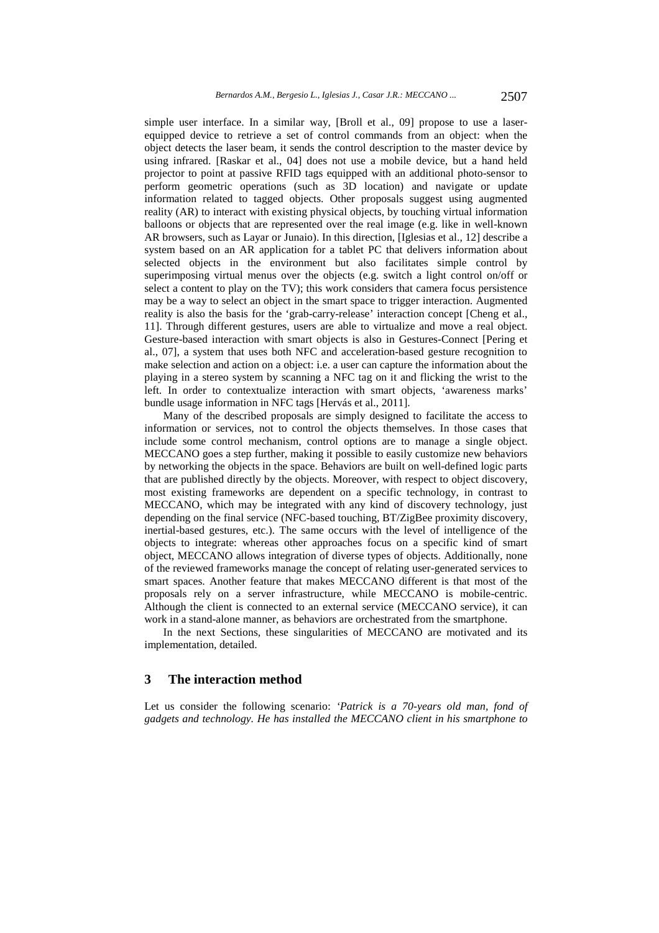simple user interface. In a similar way, [Broll et al., 09] propose to use a laserequipped device to retrieve a set of control commands from an object: when the object detects the laser beam, it sends the control description to the master device by using infrared. [Raskar et al., 04] does not use a mobile device, but a hand held projector to point at passive RFID tags equipped with an additional photo-sensor to perform geometric operations (such as 3D location) and navigate or update information related to tagged objects. Other proposals suggest using augmented reality (AR) to interact with existing physical objects, by touching virtual information balloons or objects that are represented over the real image (e.g. like in well-known AR browsers, such as Layar or Junaio). In this direction, [Iglesias et al., 12] describe a system based on an AR application for a tablet PC that delivers information about selected objects in the environment but also facilitates simple control by superimposing virtual menus over the objects (e.g. switch a light control on/off or select a content to play on the TV); this work considers that camera focus persistence may be a way to select an object in the smart space to trigger interaction. Augmented reality is also the basis for the 'grab-carry-release' interaction concept [Cheng et al., 11]. Through different gestures, users are able to virtualize and move a real object. Gesture-based interaction with smart objects is also in Gestures-Connect [Pering et al., 07], a system that uses both NFC and acceleration-based gesture recognition to make selection and action on a object: i.e. a user can capture the information about the playing in a stereo system by scanning a NFC tag on it and flicking the wrist to the left. In order to contextualize interaction with smart objects, 'awareness marks' bundle usage information in NFC tags [Hervás et al., 2011].

Many of the described proposals are simply designed to facilitate the access to information or services, not to control the objects themselves. In those cases that include some control mechanism, control options are to manage a single object. MECCANO goes a step further, making it possible to easily customize new behaviors by networking the objects in the space. Behaviors are built on well-defined logic parts that are published directly by the objects. Moreover, with respect to object discovery, most existing frameworks are dependent on a specific technology, in contrast to MECCANO, which may be integrated with any kind of discovery technology, just depending on the final service (NFC-based touching, BT/ZigBee proximity discovery, inertial-based gestures, etc.). The same occurs with the level of intelligence of the objects to integrate: whereas other approaches focus on a specific kind of smart object, MECCANO allows integration of diverse types of objects. Additionally, none of the reviewed frameworks manage the concept of relating user-generated services to smart spaces. Another feature that makes MECCANO different is that most of the proposals rely on a server infrastructure, while MECCANO is mobile-centric. Although the client is connected to an external service (MECCANO service), it can work in a stand-alone manner, as behaviors are orchestrated from the smartphone.

In the next Sections, these singularities of MECCANO are motivated and its implementation, detailed.

# **3 The interaction method**

Let us consider the following scenario: *'Patrick is a 70-years old man, fond of gadgets and technology. He has installed the MECCANO client in his smartphone to*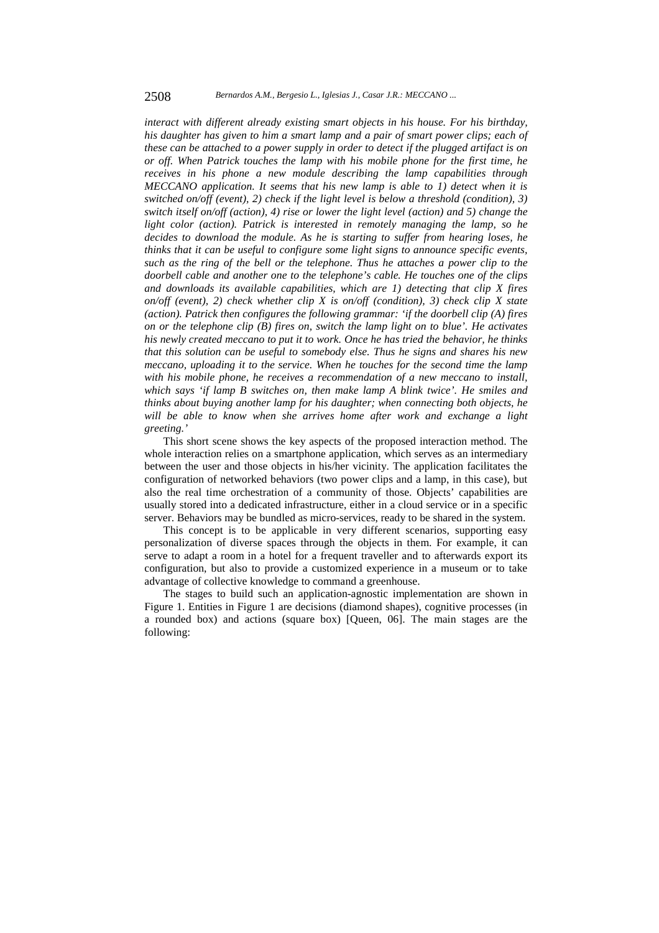*interact with different already existing smart objects in his house. For his birthday, his daughter has given to him a smart lamp and a pair of smart power clips; each of these can be attached to a power supply in order to detect if the plugged artifact is on or off. When Patrick touches the lamp with his mobile phone for the first time, he receives in his phone a new module describing the lamp capabilities through MECCANO application. It seems that his new lamp is able to 1) detect when it is switched on/off (event), 2) check if the light level is below a threshold (condition), 3) switch itself on/off (action), 4) rise or lower the light level (action) and 5) change the light color (action). Patrick is interested in remotely managing the lamp, so he decides to download the module. As he is starting to suffer from hearing loses, he thinks that it can be useful to configure some light signs to announce specific events, such as the ring of the bell or the telephone. Thus he attaches a power clip to the doorbell cable and another one to the telephone's cable. He touches one of the clips and downloads its available capabilities, which are 1) detecting that clip X fires on/off (event), 2) check whether clip X is on/off (condition), 3) check clip X state (action). Patrick then configures the following grammar: 'if the doorbell clip (A) fires on or the telephone clip (B) fires on, switch the lamp light on to blue'. He activates his newly created meccano to put it to work. Once he has tried the behavior, he thinks that this solution can be useful to somebody else. Thus he signs and shares his new meccano, uploading it to the service. When he touches for the second time the lamp with his mobile phone, he receives a recommendation of a new meccano to install, which says 'if lamp B switches on, then make lamp A blink twice'. He smiles and thinks about buying another lamp for his daughter; when connecting both objects, he will be able to know when she arrives home after work and exchange a light greeting.'*

This short scene shows the key aspects of the proposed interaction method. The whole interaction relies on a smartphone application, which serves as an intermediary between the user and those objects in his/her vicinity. The application facilitates the configuration of networked behaviors (two power clips and a lamp, in this case), but also the real time orchestration of a community of those. Objects' capabilities are usually stored into a dedicated infrastructure, either in a cloud service or in a specific server. Behaviors may be bundled as micro-services, ready to be shared in the system.

This concept is to be applicable in very different scenarios, supporting easy personalization of diverse spaces through the objects in them. For example, it can serve to adapt a room in a hotel for a frequent traveller and to afterwards export its configuration, but also to provide a customized experience in a museum or to take advantage of collective knowledge to command a greenhouse.

The stages to build such an application-agnostic implementation are shown in Figure 1. Entities in Figure 1 are decisions (diamond shapes), cognitive processes (in a rounded box) and actions (square box) [Queen, 06]. The main stages are the following: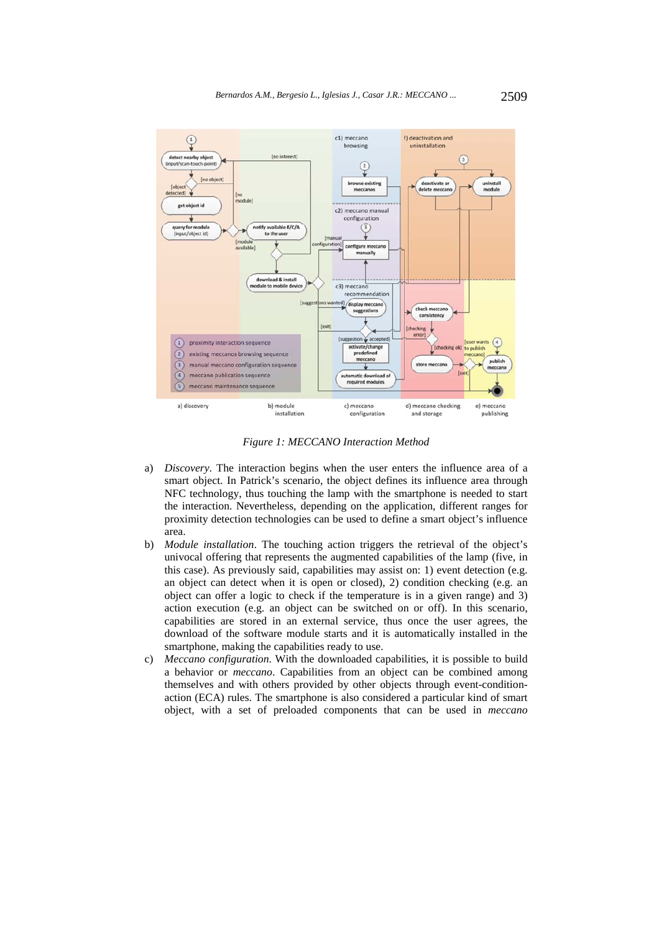

*Figure 1: MECCANO Interaction Method* 

- a) *Discovery*. The interaction begins when the user enters the influence area of a smart object. In Patrick's scenario, the object defines its influence area through NFC technology, thus touching the lamp with the smartphone is needed to start the interaction. Nevertheless, depending on the application, different ranges for proximity detection technologies can be used to define a smart object's influence area.
- b) *Module installation*. The touching action triggers the retrieval of the object's univocal offering that represents the augmented capabilities of the lamp (five, in this case). As previously said, capabilities may assist on: 1) event detection (e.g. an object can detect when it is open or closed), 2) condition checking (e.g. an object can offer a logic to check if the temperature is in a given range) and 3) action execution (e.g. an object can be switched on or off). In this scenario, capabilities are stored in an external service, thus once the user agrees, the download of the software module starts and it is automatically installed in the smartphone, making the capabilities ready to use.
- c) *Meccano configuration*. With the downloaded capabilities, it is possible to build a behavior or *meccano*. Capabilities from an object can be combined among themselves and with others provided by other objects through event-conditionaction (ECA) rules. The smartphone is also considered a particular kind of smart object, with a set of preloaded components that can be used in *meccano*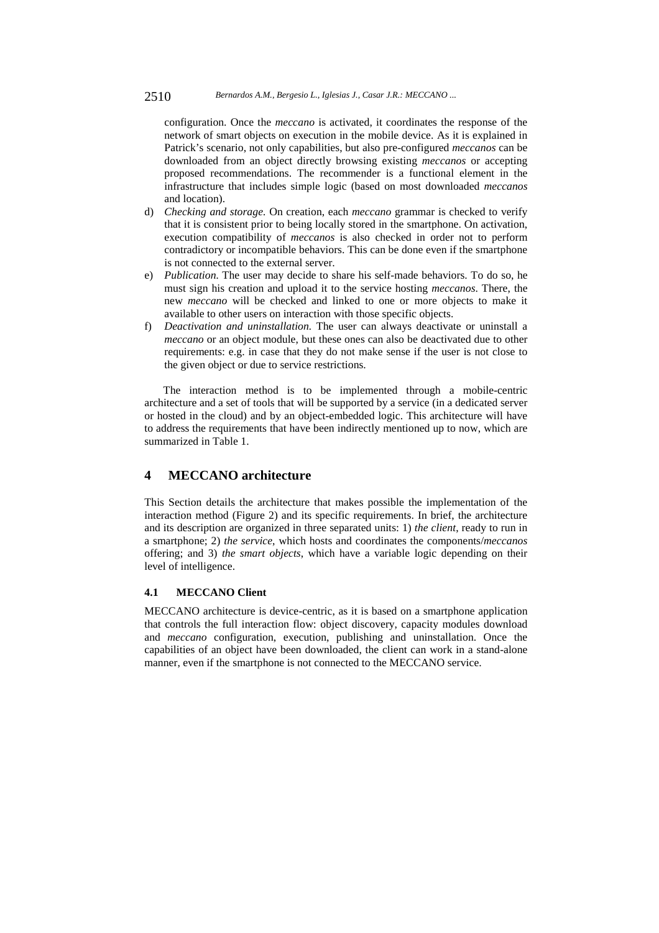#### 2510 *Bernardos A.M., Bergesio L., Iglesias J., Casar J.R.: MECCANO ...*

configuration. Once the *meccano* is activated, it coordinates the response of the network of smart objects on execution in the mobile device. As it is explained in Patrick's scenario, not only capabilities, but also pre-configured *meccanos* can be downloaded from an object directly browsing existing *meccanos* or accepting proposed recommendations. The recommender is a functional element in the infrastructure that includes simple logic (based on most downloaded *meccanos* and location).

- d) *Checking and storage.* On creation, each *meccano* grammar is checked to verify that it is consistent prior to being locally stored in the smartphone. On activation, execution compatibility of *meccanos* is also checked in order not to perform contradictory or incompatible behaviors. This can be done even if the smartphone is not connected to the external server.
- e) *Publication.* The user may decide to share his self-made behaviors. To do so, he must sign his creation and upload it to the service hosting *meccanos*. There, the new *meccano* will be checked and linked to one or more objects to make it available to other users on interaction with those specific objects.
- f) *Deactivation and uninstallation.* The user can always deactivate or uninstall a *meccano* or an object module, but these ones can also be deactivated due to other requirements: e.g. in case that they do not make sense if the user is not close to the given object or due to service restrictions.

The interaction method is to be implemented through a mobile-centric architecture and a set of tools that will be supported by a service (in a dedicated server or hosted in the cloud) and by an object-embedded logic. This architecture will have to address the requirements that have been indirectly mentioned up to now, which are summarized in Table 1.

# **4 MECCANO architecture**

This Section details the architecture that makes possible the implementation of the interaction method (Figure 2) and its specific requirements. In brief, the architecture and its description are organized in three separated units: 1) *the client*, ready to run in a smartphone; 2) *the service*, which hosts and coordinates the components/*meccanos* offering; and 3) *the smart objects*, which have a variable logic depending on their level of intelligence.

### **4.1 MECCANO Client**

MECCANO architecture is device-centric, as it is based on a smartphone application that controls the full interaction flow: object discovery, capacity modules download and *meccano* configuration, execution, publishing and uninstallation. Once the capabilities of an object have been downloaded, the client can work in a stand-alone manner, even if the smartphone is not connected to the MECCANO service.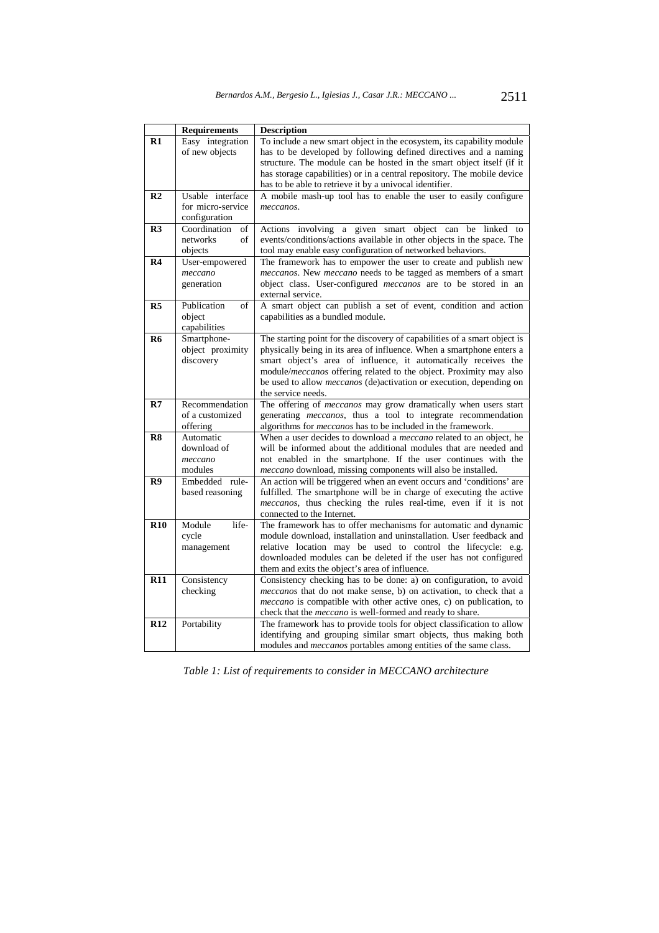|                | <b>Requirements</b> | <b>Description</b>                                                         |  |  |  |
|----------------|---------------------|----------------------------------------------------------------------------|--|--|--|
| $R1$           | Easy integration    | To include a new smart object in the ecosystem, its capability module      |  |  |  |
|                | of new objects      | has to be developed by following defined directives and a naming           |  |  |  |
|                |                     | structure. The module can be hosted in the smart object itself (if it      |  |  |  |
|                |                     | has storage capabilities) or in a central repository. The mobile device    |  |  |  |
|                |                     | has to be able to retrieve it by a univocal identifier.                    |  |  |  |
| R <sub>2</sub> | Usable interface    | A mobile mash-up tool has to enable the user to easily configure           |  |  |  |
|                | for micro-service   | meccanos.                                                                  |  |  |  |
|                | configuration       |                                                                            |  |  |  |
| R <sub>3</sub> | Coordination<br>οf  | object can<br>Actions involving a given smart<br>be<br>linked to           |  |  |  |
|                | networks<br>of      | events/conditions/actions available in other objects in the space. The     |  |  |  |
|                | objects             | tool may enable easy configuration of networked behaviors.                 |  |  |  |
| R <sub>4</sub> | User-empowered      | The framework has to empower the user to create and publish new            |  |  |  |
|                | meccano             | meccanos. New meccano needs to be tagged as members of a smart             |  |  |  |
|                | generation          | object class. User-configured meccanos are to be stored in an              |  |  |  |
|                |                     | external service.                                                          |  |  |  |
| R <sub>5</sub> | Publication<br>of   | A smart object can publish a set of event, condition and action            |  |  |  |
|                | object              | capabilities as a bundled module.                                          |  |  |  |
|                | capabilities        |                                                                            |  |  |  |
| R <sub>6</sub> | Smartphone-         | The starting point for the discovery of capabilities of a smart object is  |  |  |  |
|                | object proximity    | physically being in its area of influence. When a smartphone enters a      |  |  |  |
|                | discovery           | smart object's area of influence, it automatically receives the            |  |  |  |
|                |                     | module/meccanos offering related to the object. Proximity may also         |  |  |  |
|                |                     | be used to allow <i>meccanos</i> (de)activation or execution, depending on |  |  |  |
|                |                     | the service needs.                                                         |  |  |  |
| R7             | Recommendation      | The offering of <i>meccanos</i> may grow dramatically when users start     |  |  |  |
|                | of a customized     | generating <i>meccanos</i> , thus a tool to integrate recommendation       |  |  |  |
|                | offering            | algorithms for meccanos has to be included in the framework.               |  |  |  |
| R8             | Automatic           | When a user decides to download a <i>meccano</i> related to an object, he  |  |  |  |
|                | download of         | will be informed about the additional modules that are needed and          |  |  |  |
|                | meccano             | not enabled in the smartphone. If the user continues with the              |  |  |  |
|                | modules             | meccano download, missing components will also be installed.               |  |  |  |
| R9             | Embedded rule-      | An action will be triggered when an event occurs and 'conditions' are      |  |  |  |
|                | based reasoning     | fulfilled. The smartphone will be in charge of executing the active        |  |  |  |
|                |                     | meccanos, thus checking the rules real-time, even if it is not             |  |  |  |
|                |                     | connected to the Internet.                                                 |  |  |  |
| <b>R10</b>     | Module<br>life-     | The framework has to offer mechanisms for automatic and dynamic            |  |  |  |
|                | cycle               | module download, installation and uninstallation. User feedback and        |  |  |  |
|                | management          | relative location may be used to control the lifecycle: e.g.               |  |  |  |
|                |                     | downloaded modules can be deleted if the user has not configured           |  |  |  |
|                |                     | them and exits the object's area of influence.                             |  |  |  |
| <b>R11</b>     | Consistency         | Consistency checking has to be done: a) on configuration, to avoid         |  |  |  |
|                | checking            | meccanos that do not make sense, b) on activation, to check that a         |  |  |  |
|                |                     | <i>meccano</i> is compatible with other active ones, c) on publication, to |  |  |  |
|                |                     | check that the <i>meccano</i> is well-formed and ready to share.           |  |  |  |
| R12            | Portability         | The framework has to provide tools for object classification to allow      |  |  |  |
|                |                     | identifying and grouping similar smart objects, thus making both           |  |  |  |
|                |                     | modules and <i>meccanos</i> portables among entities of the same class.    |  |  |  |

*Table 1: List of requirements to consider in MECCANO architecture*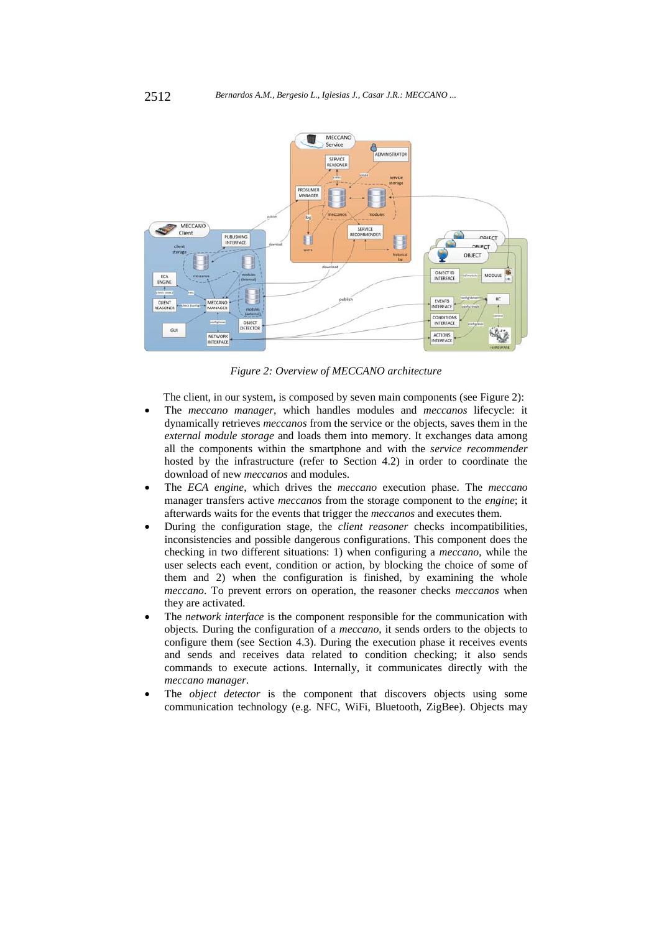

*Figure 2: Overview of MECCANO architecture* 

The client, in our system, is composed by seven main components (see Figure 2):

- The *meccano manager*, which handles modules and *meccanos* lifecycle: it dynamically retrieves *meccanos* from the service or the objects, saves them in the *external module storage* and loads them into memory. It exchanges data among all the components within the smartphone and with the *service recommender* hosted by the infrastructure (refer to Section 4.2) in order to coordinate the download of new *meccanos* and modules.
- The *ECA engine*, which drives the *meccano* execution phase. The *meccano* manager transfers active *meccanos* from the storage component to the *engine*; it afterwards waits for the events that trigger the *meccanos* and executes them.
- During the configuration stage, the *client reasoner* checks incompatibilities, inconsistencies and possible dangerous configurations. This component does the checking in two different situations: 1) when configuring a *meccano,* while the user selects each event, condition or action, by blocking the choice of some of them and 2) when the configuration is finished, by examining the whole *meccano*. To prevent errors on operation, the reasoner checks *meccanos* when they are activated.
- The *network interface* is the component responsible for the communication with objects*.* During the configuration of a *meccano*, it sends orders to the objects to configure them (see Section 4.3). During the execution phase it receives events and sends and receives data related to condition checking; it also sends commands to execute actions. Internally, it communicates directly with the *meccano manager*.
- The *object detector* is the component that discovers objects using some communication technology (e.g. NFC, WiFi, Bluetooth, ZigBee). Objects may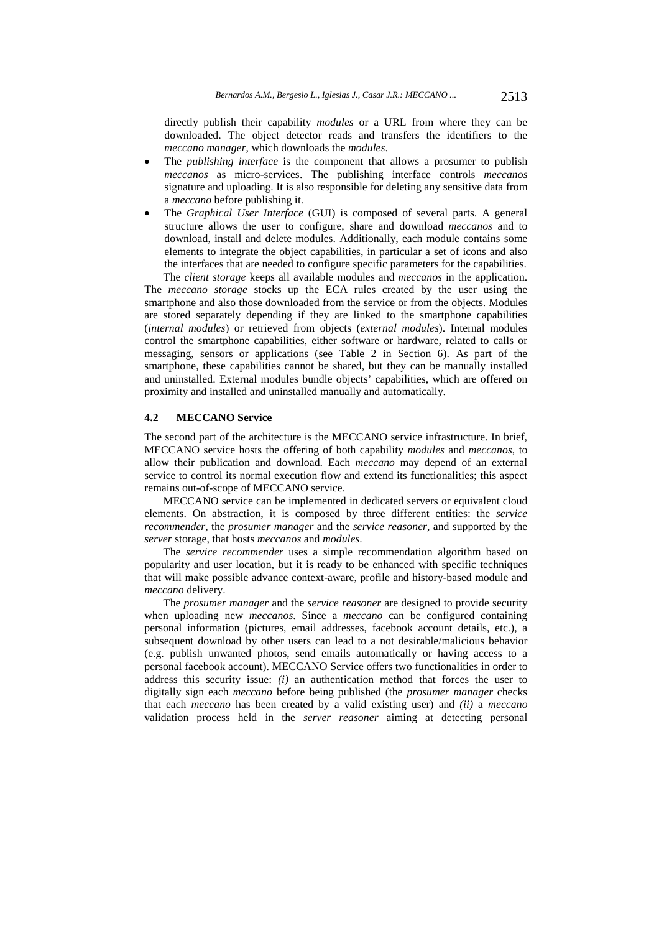directly publish their capability *modules* or a URL from where they can be downloaded. The object detector reads and transfers the identifiers to the *meccano manager*, which downloads the *modules*.

- The *publishing interface* is the component that allows a prosumer to publish *meccanos* as micro-services. The publishing interface controls *meccanos* signature and uploading. It is also responsible for deleting any sensitive data from a *meccano* before publishing it.
- The *Graphical User Interface* (GUI) is composed of several parts. A general structure allows the user to configure, share and download *meccanos* and to download, install and delete modules. Additionally, each module contains some elements to integrate the object capabilities, in particular a set of icons and also the interfaces that are needed to configure specific parameters for the capabilities. The *client storage* keeps all available modules and *meccanos* in the application.

The *meccano storage* stocks up the ECA rules created by the user using the smartphone and also those downloaded from the service or from the objects. Modules are stored separately depending if they are linked to the smartphone capabilities (*internal modules*) or retrieved from objects (*external modules*). Internal modules control the smartphone capabilities, either software or hardware, related to calls or messaging, sensors or applications (see Table 2 in Section 6). As part of the smartphone, these capabilities cannot be shared, but they can be manually installed and uninstalled. External modules bundle objects' capabilities, which are offered on proximity and installed and uninstalled manually and automatically.

### **4.2 MECCANO Service**

The second part of the architecture is the MECCANO service infrastructure. In brief, MECCANO service hosts the offering of both capability *modules* and *meccanos*, to allow their publication and download. Each *meccano* may depend of an external service to control its normal execution flow and extend its functionalities; this aspect remains out-of-scope of MECCANO service.

MECCANO service can be implemented in dedicated servers or equivalent cloud elements. On abstraction, it is composed by three different entities: the *service recommender*, the *prosumer manager* and the *service reasoner*, and supported by the *server* storage, that hosts *meccanos* and *modules*.

The *service recommender* uses a simple recommendation algorithm based on popularity and user location, but it is ready to be enhanced with specific techniques that will make possible advance context-aware, profile and history-based module and *meccano* delivery.

The *prosumer manager* and the *service reasoner* are designed to provide security when uploading new *meccanos*. Since a *meccano* can be configured containing personal information (pictures, email addresses, facebook account details, etc.), a subsequent download by other users can lead to a not desirable/malicious behavior (e.g. publish unwanted photos, send emails automatically or having access to a personal facebook account). MECCANO Service offers two functionalities in order to address this security issue: *(i)* an authentication method that forces the user to digitally sign each *meccano* before being published (the *prosumer manager* checks that each *meccano* has been created by a valid existing user) and *(ii)* a *meccano* validation process held in the *server reasoner* aiming at detecting personal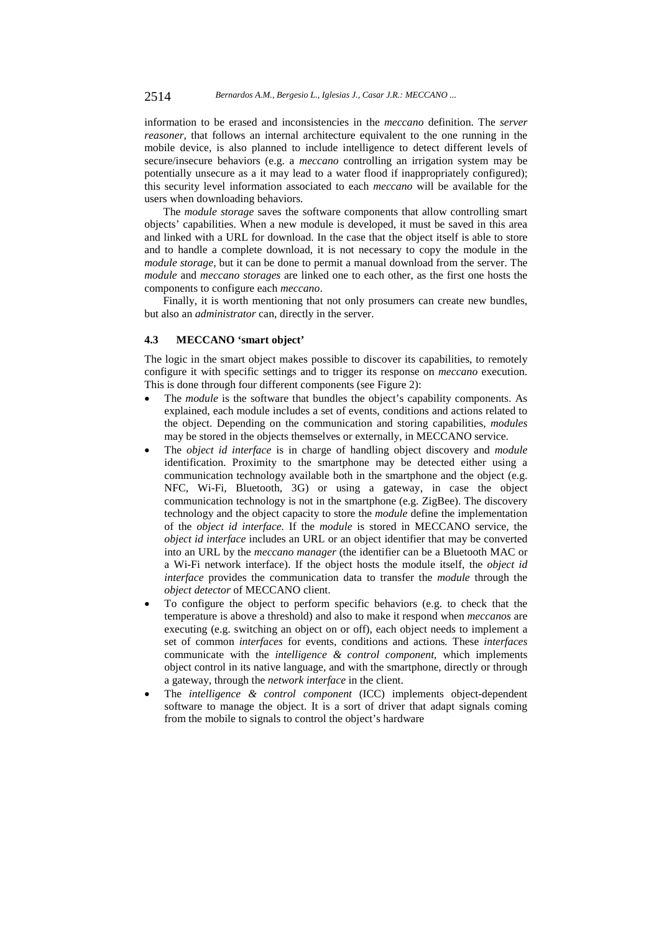information to be erased and inconsistencies in the *meccano* definition. The *server reasoner*, that follows an internal architecture equivalent to the one running in the mobile device, is also planned to include intelligence to detect different levels of secure/insecure behaviors (e.g. a *meccano* controlling an irrigation system may be potentially unsecure as a it may lead to a water flood if inappropriately configured); this security level information associated to each *meccano* will be available for the users when downloading behaviors.

The *module storage* saves the software components that allow controlling smart objects' capabilities. When a new module is developed, it must be saved in this area and linked with a URL for download. In the case that the object itself is able to store and to handle a complete download, it is not necessary to copy the module in the *module storage*, but it can be done to permit a manual download from the server. The *module* and *meccano storages* are linked one to each other, as the first one hosts the components to configure each *meccano*.

Finally, it is worth mentioning that not only prosumers can create new bundles, but also an *administrator* can, directly in the server.

### **4.3 MECCANO 'smart object'**

The logic in the smart object makes possible to discover its capabilities, to remotely configure it with specific settings and to trigger its response on *meccano* execution. This is done through four different components (see Figure 2):

- The *module* is the software that bundles the object's capability components. As explained, each module includes a set of events, conditions and actions related to the object. Depending on the communication and storing capabilities, *modules* may be stored in the objects themselves or externally, in MECCANO service.
- The *object id interface* is in charge of handling object discovery and *module* identification. Proximity to the smartphone may be detected either using a communication technology available both in the smartphone and the object (e.g. NFC, Wi-Fi, Bluetooth, 3G) or using a gateway, in case the object communication technology is not in the smartphone (e.g. ZigBee). The discovery technology and the object capacity to store the *module* define the implementation of the *object id interface.* If the *module* is stored in MECCANO service, the *object id interface* includes an URL or an object identifier that may be converted into an URL by the *meccano manager* (the identifier can be a Bluetooth MAC or a Wi-Fi network interface). If the object hosts the module itself, the *object id interface* provides the communication data to transfer the *module* through the *object detector* of MECCANO client.
- To configure the object to perform specific behaviors (e.g. to check that the temperature is above a threshold) and also to make it respond when *meccanos* are executing (e.g. switching an object on or off), each object needs to implement a set of common *interfaces* for events, conditions and actions*.* These *interfaces*  communicate with the *intelligence & control component*, which implements object control in its native language, and with the smartphone, directly or through a gateway, through the *network interface* in the client.
- The *intelligence & control component* (ICC) implements object-dependent software to manage the object. It is a sort of driver that adapt signals coming from the mobile to signals to control the object's hardware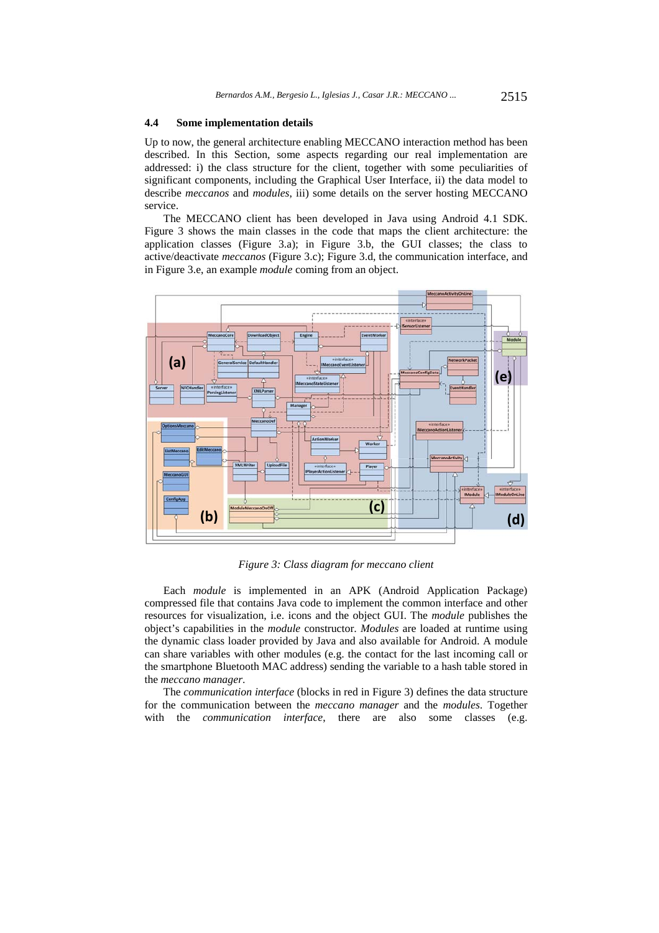#### **4.4 Some implementation details**

Up to now, the general architecture enabling MECCANO interaction method has been described. In this Section, some aspects regarding our real implementation are addressed: i) the class structure for the client, together with some peculiarities of significant components, including the Graphical User Interface, ii) the data model to describe *meccanos* and *modules*, iii) some details on the server hosting MECCANO service.

The MECCANO client has been developed in Java using Android 4.1 SDK. Figure 3 shows the main classes in the code that maps the client architecture: the application classes (Figure 3.a); in Figure 3.b, the GUI classes; the class to active/deactivate *meccanos* (Figure 3.c); Figure 3.d, the communication interface, and in Figure 3.e, an example *module* coming from an object.



*Figure 3: Class diagram for meccano client* 

Each *module* is implemented in an APK (Android Application Package) compressed file that contains Java code to implement the common interface and other resources for visualization, i.e. icons and the object GUI. The *module* publishes the object's capabilities in the *module* constructor. *Modules* are loaded at runtime using the dynamic class loader provided by Java and also available for Android. A module can share variables with other modules (e.g. the contact for the last incoming call or the smartphone Bluetooth MAC address) sending the variable to a hash table stored in the *meccano manager*.

The *communication interface* (blocks in red in Figure 3) defines the data structure for the communication between the *meccano manager* and the *modules*. Together with the *communication interface*, there are also some classes (e.g.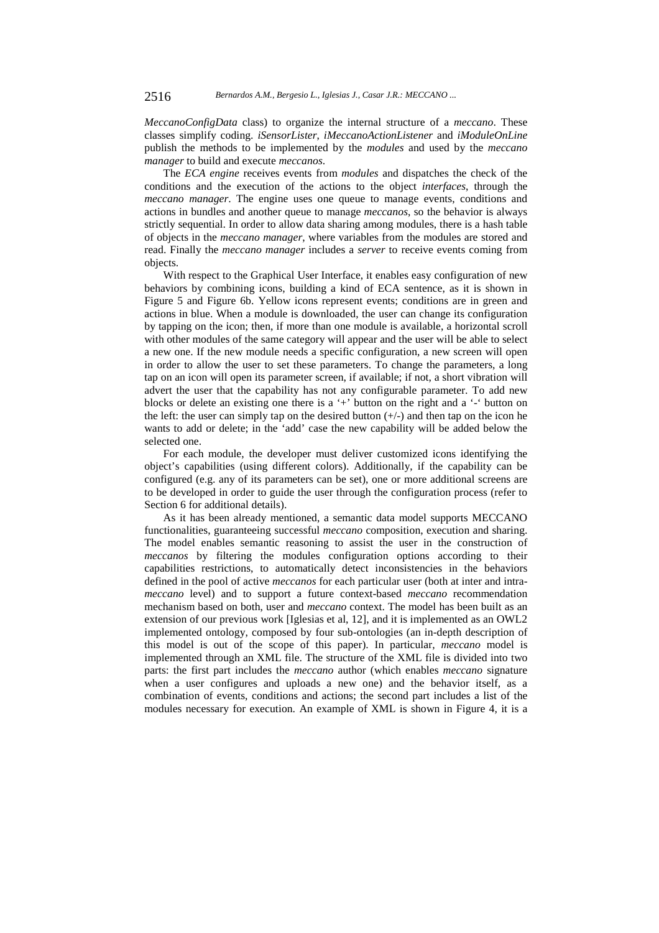*MeccanoConfigData* class) to organize the internal structure of a *meccano*. These classes simplify coding. *iSensorLister*, *iMeccanoActionListener* and *iModuleOnLine* publish the methods to be implemented by the *modules* and used by the *meccano manager* to build and execute *meccanos*.

The *ECA engine* receives events from *modules* and dispatches the check of the conditions and the execution of the actions to the object *interfaces*, through the *meccano manager*. The engine uses one queue to manage events, conditions and actions in bundles and another queue to manage *meccanos*, so the behavior is always strictly sequential. In order to allow data sharing among modules, there is a hash table of objects in the *meccano manager*, where variables from the modules are stored and read. Finally the *meccano manager* includes a *server* to receive events coming from objects.

With respect to the Graphical User Interface, it enables easy configuration of new behaviors by combining icons, building a kind of ECA sentence, as it is shown in Figure 5 and Figure 6b. Yellow icons represent events; conditions are in green and actions in blue. When a module is downloaded, the user can change its configuration by tapping on the icon; then, if more than one module is available, a horizontal scroll with other modules of the same category will appear and the user will be able to select a new one. If the new module needs a specific configuration, a new screen will open in order to allow the user to set these parameters. To change the parameters, a long tap on an icon will open its parameter screen, if available; if not, a short vibration will advert the user that the capability has not any configurable parameter. To add new blocks or delete an existing one there is a '+' button on the right and a '-' button on the left: the user can simply tap on the desired button  $(+/-)$  and then tap on the icon he wants to add or delete; in the 'add' case the new capability will be added below the selected one.

For each module, the developer must deliver customized icons identifying the object's capabilities (using different colors). Additionally, if the capability can be configured (e.g. any of its parameters can be set), one or more additional screens are to be developed in order to guide the user through the configuration process (refer to Section 6 for additional details).

As it has been already mentioned, a semantic data model supports MECCANO functionalities, guaranteeing successful *meccano* composition, execution and sharing. The model enables semantic reasoning to assist the user in the construction of *meccanos* by filtering the modules configuration options according to their capabilities restrictions, to automatically detect inconsistencies in the behaviors defined in the pool of active *meccanos* for each particular user (both at inter and intra*meccano* level) and to support a future context-based *meccano* recommendation mechanism based on both, user and *meccano* context. The model has been built as an extension of our previous work [Iglesias et al, 12], and it is implemented as an OWL2 implemented ontology, composed by four sub-ontologies (an in-depth description of this model is out of the scope of this paper). In particular, *meccano* model is implemented through an XML file. The structure of the XML file is divided into two parts: the first part includes the *meccano* author (which enables *meccano* signature when a user configures and uploads a new one) and the behavior itself, as a combination of events, conditions and actions; the second part includes a list of the modules necessary for execution. An example of XML is shown in Figure 4, it is a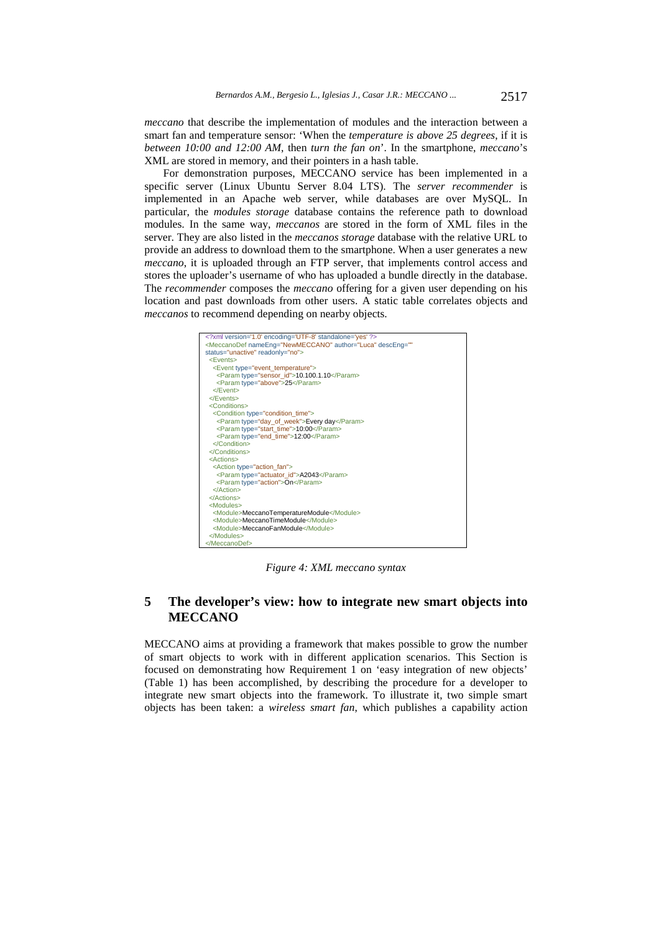*meccano* that describe the implementation of modules and the interaction between a smart fan and temperature sensor: 'When the *temperature is above 25 degrees*, if it is *between 10:00 and 12:00 AM*, then *turn the fan on*'. In the smartphone, *meccano*'s XML are stored in memory, and their pointers in a hash table.

For demonstration purposes, MECCANO service has been implemented in a specific server (Linux Ubuntu Server 8.04 LTS). The *server recommender* is implemented in an Apache web server, while databases are over MySQL. In particular, the *modules storage* database contains the reference path to download modules. In the same way, *meccanos* are stored in the form of XML files in the server. They are also listed in the *meccanos storage* database with the relative URL to provide an address to download them to the smartphone. When a user generates a new *meccano*, it is uploaded through an FTP server, that implements control access and stores the uploader's username of who has uploaded a bundle directly in the database. The *recommender* composes the *meccano* offering for a given user depending on his location and past downloads from other users. A static table correlates objects and *meccanos* to recommend depending on nearby objects.



*Figure 4: XML meccano syntax* 

# **5 The developer's view: how to integrate new smart objects into MECCANO**

MECCANO aims at providing a framework that makes possible to grow the number of smart objects to work with in different application scenarios. This Section is focused on demonstrating how Requirement 1 on 'easy integration of new objects' (Table 1) has been accomplished, by describing the procedure for a developer to integrate new smart objects into the framework. To illustrate it, two simple smart objects has been taken: a *wireless smart fan*, which publishes a capability action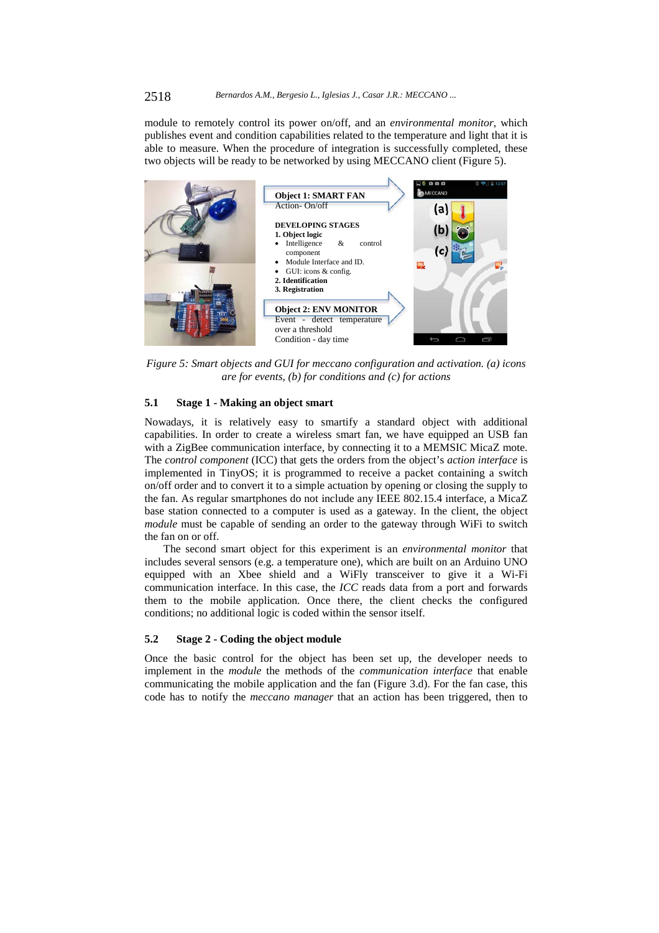#### 2518 *Bernardos A.M., Bergesio L., Iglesias J., Casar J.R.: MECCANO ...*

module to remotely control its power on/off, and an *environmental monitor*, which publishes event and condition capabilities related to the temperature and light that it is able to measure. When the procedure of integration is successfully completed, these two objects will be ready to be networked by using MECCANO client (Figure 5).



*Figure 5: Smart objects and GUI for meccano configuration and activation. (a) icons are for events, (b) for conditions and (c) for actions* 

#### **5.1 Stage 1 - Making an object smart**

Nowadays, it is relatively easy to smartify a standard object with additional capabilities. In order to create a wireless smart fan, we have equipped an USB fan with a ZigBee communication interface, by connecting it to a MEMSIC MicaZ mote. The *control component* (ICC) that gets the orders from the object's *action interface* is implemented in TinyOS; it is programmed to receive a packet containing a switch on/off order and to convert it to a simple actuation by opening or closing the supply to the fan. As regular smartphones do not include any IEEE 802.15.4 interface, a MicaZ base station connected to a computer is used as a gateway. In the client, the object *module* must be capable of sending an order to the gateway through WiFi to switch the fan on or off.

The second smart object for this experiment is an *environmental monitor* that includes several sensors (e.g. a temperature one), which are built on an Arduino UNO equipped with an Xbee shield and a WiFly transceiver to give it a Wi-Fi communication interface. In this case, the *ICC* reads data from a port and forwards them to the mobile application. Once there, the client checks the configured conditions; no additional logic is coded within the sensor itself.

#### **5.2 Stage 2 - Coding the object module**

Once the basic control for the object has been set up, the developer needs to implement in the *module* the methods of the *communication interface* that enable communicating the mobile application and the fan (Figure 3.d). For the fan case, this code has to notify the *meccano manager* that an action has been triggered, then to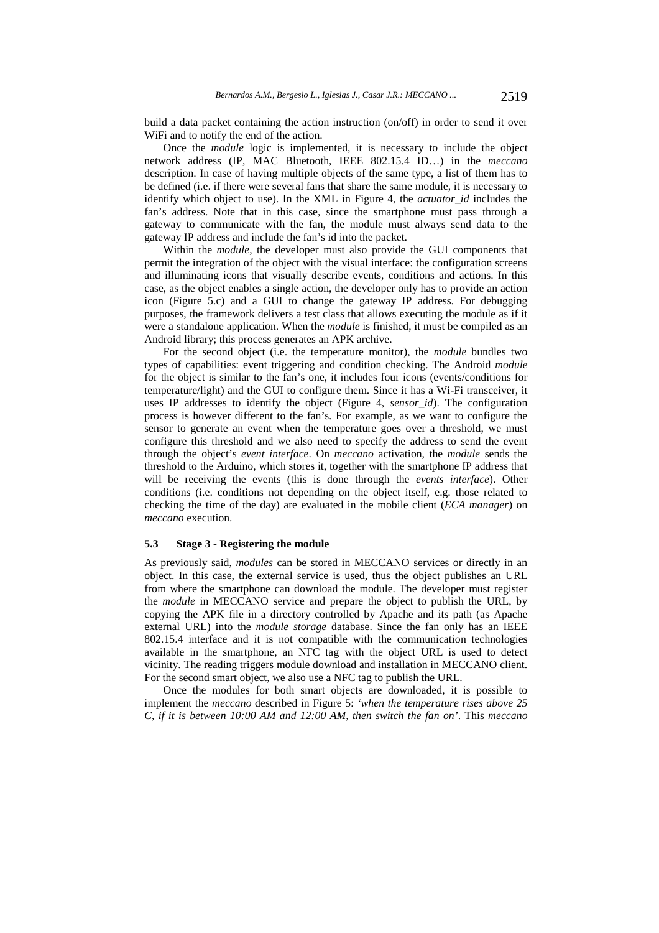build a data packet containing the action instruction (on/off) in order to send it over WiFi and to notify the end of the action.

Once the *module* logic is implemented, it is necessary to include the object network address (IP, MAC Bluetooth, IEEE 802.15.4 ID…) in the *meccano*  description. In case of having multiple objects of the same type, a list of them has to be defined (i.e. if there were several fans that share the same module, it is necessary to identify which object to use). In the XML in Figure 4, the *actuator\_id* includes the fan's address. Note that in this case, since the smartphone must pass through a gateway to communicate with the fan, the module must always send data to the gateway IP address and include the fan's id into the packet.

Within the *module*, the developer must also provide the GUI components that permit the integration of the object with the visual interface: the configuration screens and illuminating icons that visually describe events, conditions and actions. In this case, as the object enables a single action, the developer only has to provide an action icon (Figure 5.c) and a GUI to change the gateway IP address. For debugging purposes, the framework delivers a test class that allows executing the module as if it were a standalone application. When the *module* is finished, it must be compiled as an Android library; this process generates an APK archive.

For the second object (i.e. the temperature monitor), the *module* bundles two types of capabilities: event triggering and condition checking. The Android *module* for the object is similar to the fan's one, it includes four icons (events/conditions for temperature/light) and the GUI to configure them. Since it has a Wi-Fi transceiver, it uses IP addresses to identify the object (Figure 4, *sensor\_id*). The configuration process is however different to the fan's. For example, as we want to configure the sensor to generate an event when the temperature goes over a threshold, we must configure this threshold and we also need to specify the address to send the event through the object's *event interface*. On *meccano* activation, the *module* sends the threshold to the Arduino, which stores it, together with the smartphone IP address that will be receiving the events (this is done through the *events interface*). Other conditions (i.e. conditions not depending on the object itself, e.g. those related to checking the time of the day) are evaluated in the mobile client (*ECA manager*) on *meccano* execution.

#### **5.3 Stage 3 - Registering the module**

As previously said, *modules* can be stored in MECCANO services or directly in an object. In this case, the external service is used, thus the object publishes an URL from where the smartphone can download the module. The developer must register the *module* in MECCANO service and prepare the object to publish the URL, by copying the APK file in a directory controlled by Apache and its path (as Apache external URL) into the *module storage* database. Since the fan only has an IEEE 802.15.4 interface and it is not compatible with the communication technologies available in the smartphone, an NFC tag with the object URL is used to detect vicinity. The reading triggers module download and installation in MECCANO client. For the second smart object, we also use a NFC tag to publish the URL.

Once the modules for both smart objects are downloaded, it is possible to implement the *meccano* described in Figure 5: *'when the temperature rises above 25 C, if it is between 10:00 AM and 12:00 AM, then switch the fan on'*. This *meccano*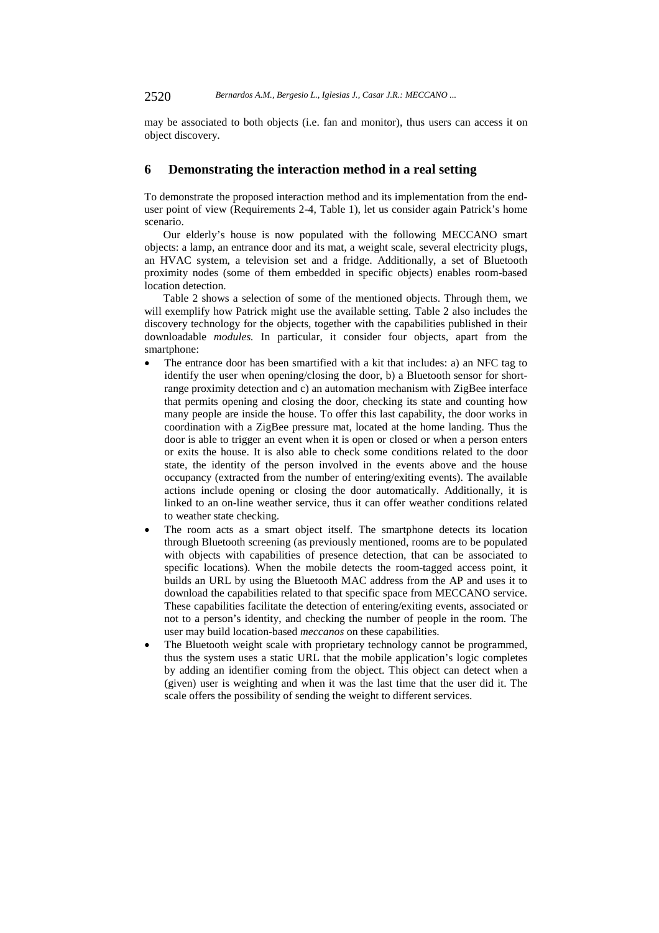may be associated to both objects (i.e. fan and monitor), thus users can access it on object discovery.

# **6 Demonstrating the interaction method in a real setting**

To demonstrate the proposed interaction method and its implementation from the enduser point of view (Requirements 2-4, Table 1), let us consider again Patrick's home scenario.

Our elderly's house is now populated with the following MECCANO smart objects: a lamp, an entrance door and its mat, a weight scale, several electricity plugs, an HVAC system, a television set and a fridge. Additionally, a set of Bluetooth proximity nodes (some of them embedded in specific objects) enables room-based location detection.

Table 2 shows a selection of some of the mentioned objects. Through them, we will exemplify how Patrick might use the available setting. Table 2 also includes the discovery technology for the objects, together with the capabilities published in their downloadable *modules.* In particular, it consider four objects, apart from the smartphone:

- The entrance door has been smartified with a kit that includes: a) an NFC tag to identify the user when opening/closing the door, b) a Bluetooth sensor for shortrange proximity detection and c) an automation mechanism with ZigBee interface that permits opening and closing the door, checking its state and counting how many people are inside the house. To offer this last capability, the door works in coordination with a ZigBee pressure mat, located at the home landing. Thus the door is able to trigger an event when it is open or closed or when a person enters or exits the house. It is also able to check some conditions related to the door state, the identity of the person involved in the events above and the house occupancy (extracted from the number of entering/exiting events). The available actions include opening or closing the door automatically. Additionally, it is linked to an on-line weather service, thus it can offer weather conditions related to weather state checking.
- The room acts as a smart object itself. The smartphone detects its location through Bluetooth screening (as previously mentioned, rooms are to be populated with objects with capabilities of presence detection, that can be associated to specific locations). When the mobile detects the room-tagged access point, it builds an URL by using the Bluetooth MAC address from the AP and uses it to download the capabilities related to that specific space from MECCANO service. These capabilities facilitate the detection of entering/exiting events, associated or not to a person's identity, and checking the number of people in the room. The user may build location-based *meccanos* on these capabilities.
- The Bluetooth weight scale with proprietary technology cannot be programmed, thus the system uses a static URL that the mobile application's logic completes by adding an identifier coming from the object. This object can detect when a (given) user is weighting and when it was the last time that the user did it. The scale offers the possibility of sending the weight to different services.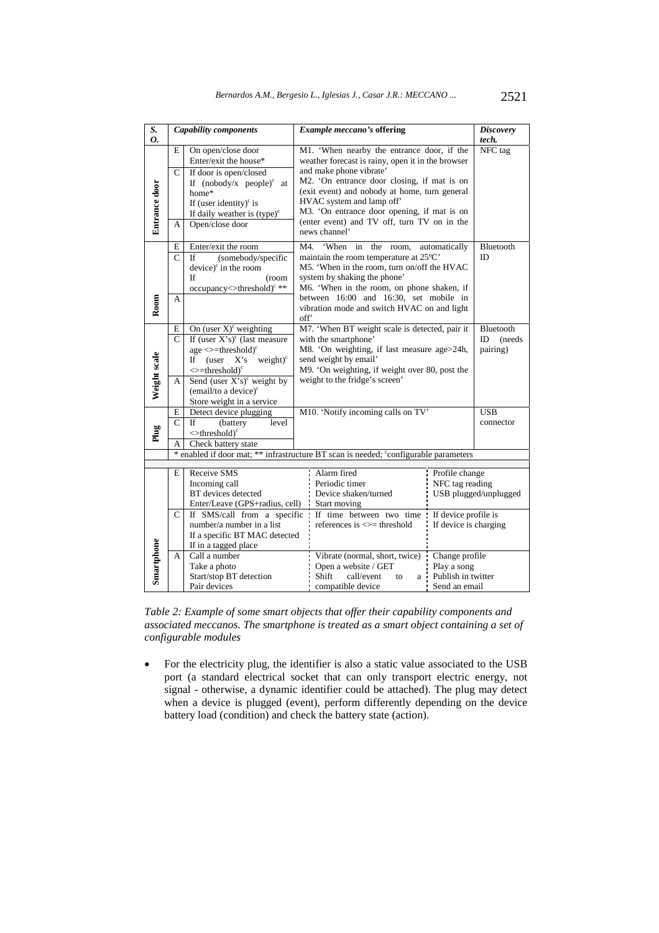| S.                                                                                   | <b>Capability components</b>                                                                                                                                                                                                                |                                                                                                                                                                                                                                                                                                                                                                                                                                                                                 |                                                                                                                                                                                                                                                                                                                                                                        | <b>Example meccano's offering</b>                                                                                                                                                                                                  |                                                                      | <b>Discovery</b>                      |  |  |
|--------------------------------------------------------------------------------------|---------------------------------------------------------------------------------------------------------------------------------------------------------------------------------------------------------------------------------------------|---------------------------------------------------------------------------------------------------------------------------------------------------------------------------------------------------------------------------------------------------------------------------------------------------------------------------------------------------------------------------------------------------------------------------------------------------------------------------------|------------------------------------------------------------------------------------------------------------------------------------------------------------------------------------------------------------------------------------------------------------------------------------------------------------------------------------------------------------------------|------------------------------------------------------------------------------------------------------------------------------------------------------------------------------------------------------------------------------------|----------------------------------------------------------------------|---------------------------------------|--|--|
| 0.                                                                                   |                                                                                                                                                                                                                                             |                                                                                                                                                                                                                                                                                                                                                                                                                                                                                 |                                                                                                                                                                                                                                                                                                                                                                        |                                                                                                                                                                                                                                    |                                                                      | tech.                                 |  |  |
| Entrance door                                                                        | On open/close door<br>E<br>Enter/exit the house*<br>$\mathsf{C}$<br>If door is open/closed<br>If $(nobody/x \text{ people})^c$<br>at<br>home*<br>If (user identity) $\epsilon$ is<br>If daily weather is $(type)^c$<br>Open/close door<br>А |                                                                                                                                                                                                                                                                                                                                                                                                                                                                                 | M1. 'When nearby the entrance door, if the<br>weather forecast is rainy, open it in the browser<br>and make phone vibrate'<br>M2. 'On entrance door closing, if mat is on<br>(exit event) and nobody at home, turn general<br>HVAC system and lamp off'<br>M3. 'On entrance door opening, if mat is on<br>(enter event) and TV off, turn TV on in the<br>news channel' |                                                                                                                                                                                                                                    |                                                                      | NFC tag                               |  |  |
| Room                                                                                 | E<br>C<br>А                                                                                                                                                                                                                                 | 'When<br>Enter/exit the room<br>M4.<br>in<br>the<br>automatically<br>room,<br>(somebody/specific<br>maintain the room temperature at 25°C'<br><b>If</b><br>M5. 'When in the room, turn on/off the HVAC<br>$device)^c$ in the room<br><b>If</b><br>system by shaking the phone'<br>(room<br>occupancy<>threshold) <sup>c</sup> **<br>M6. 'When in the room, on phone shaken, if<br>between 16:00 and 16:30, set mobile in<br>vibration mode and switch HVAC on and light<br>off' |                                                                                                                                                                                                                                                                                                                                                                        |                                                                                                                                                                                                                                    |                                                                      | Bluetooth<br>ID                       |  |  |
| Weight scale                                                                         | E<br>$\mathsf{C}$<br>А                                                                                                                                                                                                                      | On (user $X$ ) <sup>c</sup> weighting<br>If (user $X$ 's) <sup>c</sup> (last measure<br>$age <=threshold$ <sup>c</sup><br>(user<br>$weight)^c$<br>Ιf<br>X's<br>$\le$ =threshold) $\circ$<br>Send (user $X's$ ) <sup>c</sup> weight by<br>(email/to a device) <sup>c</sup><br>Store weight in a service                                                                                                                                                                          |                                                                                                                                                                                                                                                                                                                                                                        | M7. 'When BT weight scale is detected, pair it<br>with the smartphone'<br>M8. 'On weighting, if last measure age>24h,<br>send weight by email'<br>M9. 'On weighting, if weight over 80, post the<br>weight to the fridge's screen' |                                                                      | Bluetooth<br>(needs<br>ID<br>pairing) |  |  |
| Plug                                                                                 | E<br>$\overline{C}$<br>A                                                                                                                                                                                                                    | Detect device plugging<br>If<br>(battery<br>level<br>$\leq$ threshold) <sup>c</sup><br>Check battery state                                                                                                                                                                                                                                                                                                                                                                      |                                                                                                                                                                                                                                                                                                                                                                        | M10. 'Notify incoming calls on TV'                                                                                                                                                                                                 |                                                                      | <b>USB</b><br>connector               |  |  |
| * enabled if door mat; ** infrastructure BT scan is needed; "configurable parameters |                                                                                                                                                                                                                                             |                                                                                                                                                                                                                                                                                                                                                                                                                                                                                 |                                                                                                                                                                                                                                                                                                                                                                        |                                                                                                                                                                                                                                    |                                                                      |                                       |  |  |
| Alarm fired                                                                          |                                                                                                                                                                                                                                             |                                                                                                                                                                                                                                                                                                                                                                                                                                                                                 |                                                                                                                                                                                                                                                                                                                                                                        |                                                                                                                                                                                                                                    |                                                                      |                                       |  |  |
|                                                                                      | E                                                                                                                                                                                                                                           | Receive SMS<br>Incoming call<br>BT devices detected<br>Enter/Leave (GPS+radius, cell)                                                                                                                                                                                                                                                                                                                                                                                           |                                                                                                                                                                                                                                                                                                                                                                        | Periodic timer<br>Device shaken/turned<br>Start moving                                                                                                                                                                             | Profile change<br>NFC tag reading<br>USB plugged/unplugged           |                                       |  |  |
|                                                                                      | $\mathsf{C}$                                                                                                                                                                                                                                | If SMS/call from a specific<br>number/a number in a list<br>If a specific BT MAC detected<br>If in a tagged place                                                                                                                                                                                                                                                                                                                                                               |                                                                                                                                                                                                                                                                                                                                                                        | If time between two time<br>references is $\le$ threshold                                                                                                                                                                          | If device profile is<br>If device is charging                        |                                       |  |  |
| Smartphone                                                                           | A                                                                                                                                                                                                                                           | Call a number<br>Take a photo<br>Start/stop BT detection<br>Pair devices                                                                                                                                                                                                                                                                                                                                                                                                        |                                                                                                                                                                                                                                                                                                                                                                        | Vibrate (normal, short, twice)<br>Open a website / GET<br>Shift<br>call/event<br>to<br>a<br>compatible device                                                                                                                      | Change profile<br>Play a song<br>Publish in twitter<br>Send an email |                                       |  |  |

*Table 2: Example of some smart objects that offer their capability components and associated meccanos. The smartphone is treated as a smart object containing a set of configurable modules* 

• For the electricity plug, the identifier is also a static value associated to the USB port (a standard electrical socket that can only transport electric energy, not signal - otherwise, a dynamic identifier could be attached). The plug may detect when a device is plugged (event), perform differently depending on the device battery load (condition) and check the battery state (action).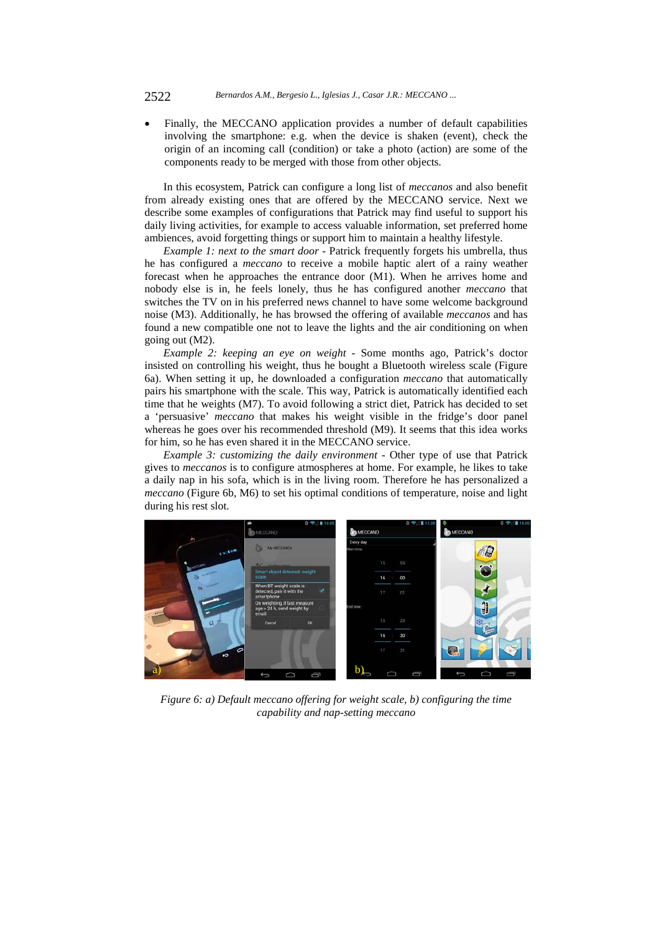Finally, the MECCANO application provides a number of default capabilities involving the smartphone: e.g. when the device is shaken (event), check the origin of an incoming call (condition) or take a photo (action) are some of the components ready to be merged with those from other objects.

In this ecosystem, Patrick can configure a long list of *meccanos* and also benefit from already existing ones that are offered by the MECCANO service. Next we describe some examples of configurations that Patrick may find useful to support his daily living activities, for example to access valuable information, set preferred home ambiences, avoid forgetting things or support him to maintain a healthy lifestyle.

*Example 1: next to the smart door -* Patrick frequently forgets his umbrella, thus he has configured a *meccano* to receive a mobile haptic alert of a rainy weather forecast when he approaches the entrance door (M1). When he arrives home and nobody else is in, he feels lonely, thus he has configured another *meccano* that switches the TV on in his preferred news channel to have some welcome background noise (M3). Additionally, he has browsed the offering of available *meccanos* and has found a new compatible one not to leave the lights and the air conditioning on when going out (M2).

*Example 2: keeping an eye on weight -* Some months ago, Patrick's doctor insisted on controlling his weight, thus he bought a Bluetooth wireless scale (Figure 6a). When setting it up, he downloaded a configuration *meccano* that automatically pairs his smartphone with the scale. This way, Patrick is automatically identified each time that he weights (M7). To avoid following a strict diet, Patrick has decided to set a 'persuasive' *meccano* that makes his weight visible in the fridge's door panel whereas he goes over his recommended threshold (M9). It seems that this idea works for him, so he has even shared it in the MECCANO service.

*Example 3: customizing the daily environment -* Other type of use that Patrick gives to *meccanos* is to configure atmospheres at home. For example, he likes to take a daily nap in his sofa, which is in the living room. Therefore he has personalized a *meccano* (Figure 6b, M6) to set his optimal conditions of temperature, noise and light during his rest slot.



*Figure 6: a) Default meccano offering for weight scale, b) configuring the time capability and nap-setting meccano*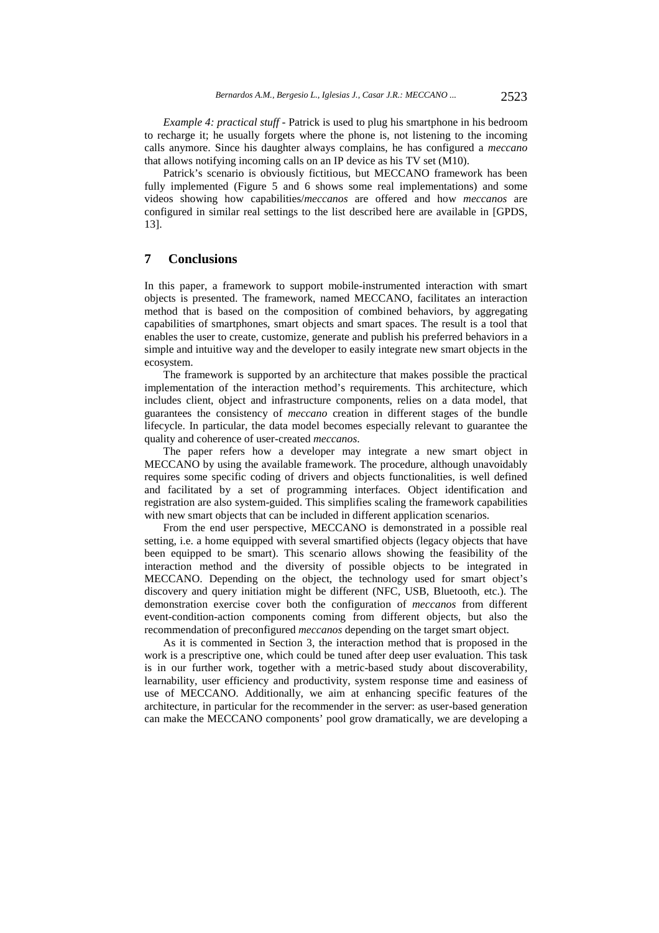*Example 4: practical stuff -* Patrick is used to plug his smartphone in his bedroom to recharge it; he usually forgets where the phone is, not listening to the incoming calls anymore. Since his daughter always complains, he has configured a *meccano*  that allows notifying incoming calls on an IP device as his TV set (M10).

Patrick's scenario is obviously fictitious, but MECCANO framework has been fully implemented (Figure 5 and 6 shows some real implementations) and some videos showing how capabilities/*meccanos* are offered and how *meccanos* are configured in similar real settings to the list described here are available in [GPDS, 13].

### **7 Conclusions**

In this paper, a framework to support mobile-instrumented interaction with smart objects is presented. The framework, named MECCANO, facilitates an interaction method that is based on the composition of combined behaviors, by aggregating capabilities of smartphones, smart objects and smart spaces. The result is a tool that enables the user to create, customize, generate and publish his preferred behaviors in a simple and intuitive way and the developer to easily integrate new smart objects in the ecosystem.

The framework is supported by an architecture that makes possible the practical implementation of the interaction method's requirements. This architecture, which includes client, object and infrastructure components, relies on a data model, that guarantees the consistency of *meccano* creation in different stages of the bundle lifecycle. In particular, the data model becomes especially relevant to guarantee the quality and coherence of user-created *meccanos*.

The paper refers how a developer may integrate a new smart object in MECCANO by using the available framework. The procedure, although unavoidably requires some specific coding of drivers and objects functionalities, is well defined and facilitated by a set of programming interfaces. Object identification and registration are also system-guided. This simplifies scaling the framework capabilities with new smart objects that can be included in different application scenarios.

From the end user perspective, MECCANO is demonstrated in a possible real setting, i.e. a home equipped with several smartified objects (legacy objects that have been equipped to be smart). This scenario allows showing the feasibility of the interaction method and the diversity of possible objects to be integrated in MECCANO. Depending on the object, the technology used for smart object's discovery and query initiation might be different (NFC, USB, Bluetooth, etc.). The demonstration exercise cover both the configuration of *meccanos* from different event-condition-action components coming from different objects, but also the recommendation of preconfigured *meccanos* depending on the target smart object.

As it is commented in Section 3, the interaction method that is proposed in the work is a prescriptive one, which could be tuned after deep user evaluation. This task is in our further work, together with a metric-based study about discoverability, learnability, user efficiency and productivity, system response time and easiness of use of MECCANO. Additionally, we aim at enhancing specific features of the architecture, in particular for the recommender in the server: as user-based generation can make the MECCANO components' pool grow dramatically, we are developing a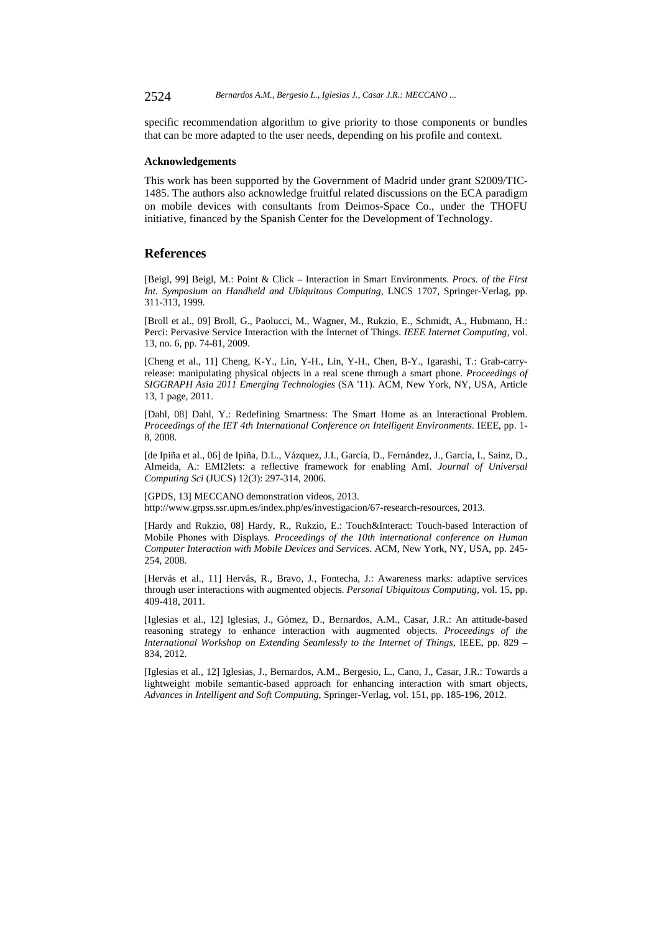2524 *Bernardos A.M., Bergesio L., Iglesias J., Casar J.R.: MECCANO ...*

specific recommendation algorithm to give priority to those components or bundles that can be more adapted to the user needs, depending on his profile and context.

#### **Acknowledgements**

This work has been supported by the Government of Madrid under grant S2009/TIC-1485. The authors also acknowledge fruitful related discussions on the ECA paradigm on mobile devices with consultants from Deimos-Space Co., under the THOFU initiative, financed by the Spanish Center for the Development of Technology.

#### **References**

[Beigl, 99] Beigl, M.: Point & Click – Interaction in Smart Environments. *Procs. of the First Int. Symposium on Handheld and Ubiquitous Computing*, LNCS 1707, Springer-Verlag, pp. 311-313, 1999.

[Broll et al., 09] Broll, G., Paolucci, M., Wagner, M., Rukzio, E., Schmidt, A., Hubmann, H.: Perci: Pervasive Service Interaction with the Internet of Things. *IEEE Internet Computing*, vol. 13, no. 6, pp. 74-81, 2009.

[Cheng et al., 11] Cheng, K-Y., Lin, Y-H., Lin, Y-H., Chen, B-Y., Igarashi, T.: Grab-carryrelease: manipulating physical objects in a real scene through a smart phone. *Proceedings of SIGGRAPH Asia 2011 Emerging Technologies* (SA '11). ACM, New York, NY, USA, Article 13, 1 page, 2011.

[Dahl, 08] Dahl, Y.: Redefining Smartness: The Smart Home as an Interactional Problem. *Proceedings of the IET 4th International Conference on Intelligent Environments*. IEEE, pp. 1- 8, 2008.

[de Ipiña et al., 06] de Ipiña, D.L., Vázquez, J.I., García, D., Fernández, J., García, I., Sainz, D., Almeida, A.: EMI2lets: a reflective framework for enabling AmI. *Journal of Universal Computing Sci* (JUCS) 12(3): 297-314, 2006.

[GPDS, 13] MECCANO demonstration videos, 2013. http://www.grpss.ssr.upm.es/index.php/es/investigacion/67-research-resources, 2013.

[Hardy and Rukzio, 08] Hardy, R., Rukzio, E.: Touch&Interact: Touch-based Interaction of Mobile Phones with Displays. *Proceedings of the 10th international conference on Human Computer Interaction with Mobile Devices and Services*. ACM, New York, NY, USA, pp. 245- 254, 2008.

[Hervás et al., 11] Hervás, R., Bravo, J., Fontecha, J.: Awareness marks: adaptive services through user interactions with augmented objects. *Personal Ubiquitous Computing*, vol. 15, pp. 409-418, 2011.

[Iglesias et al., 12] Iglesias, J., Gómez, D., Bernardos, A.M., Casar, J.R.: An attitude-based reasoning strategy to enhance interaction with augmented objects. *Proceedings of the International Workshop on Extending Seamlessly to the Internet of Things*, IEEE, pp. 829 – 834, 2012.

[Iglesias et al., 12] Iglesias, J., Bernardos, A.M., Bergesio, L., Cano, J., Casar, J.R.: Towards a lightweight mobile semantic-based approach for enhancing interaction with smart objects, *Advances in Intelligent and Soft Computing*, Springer-Verlag, vol. 151, pp. 185-196, 2012.